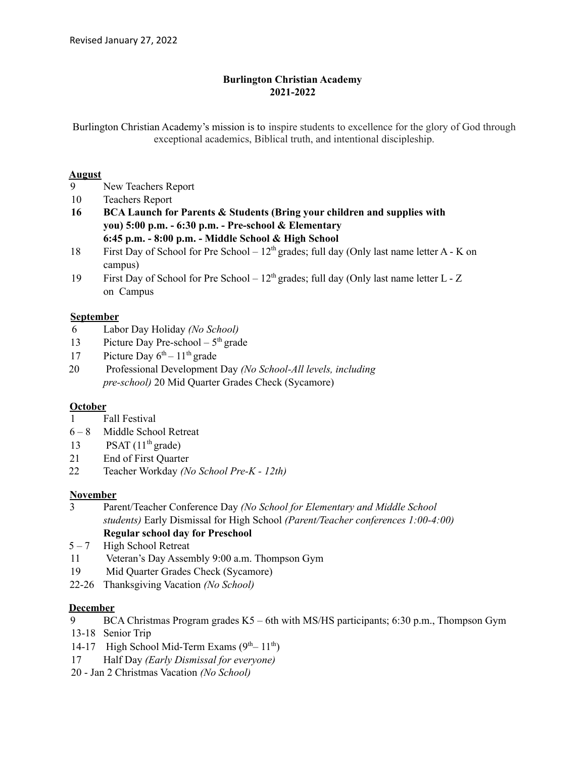# **Burlington Christian Academy 2021-2022**

Burlington Christian Academy's mission is to inspire students to excellence for the glory of God through exceptional academics, Biblical truth, and intentional discipleship.

# **August**

- 9 New Teachers Report
- 10 Teachers Report
- **16 BCA Launch for Parents & Students (Bring your children and supplies with you) 5:00 p.m. - 6:30 p.m. - Pre-school & Elementary 6:45 p.m. - 8:00 p.m. - Middle School & High School**
- 18 First Day of School for Pre School  $12<sup>th</sup>$  grades; full day (Only last name letter A K on campus)
- 19 First Day of School for Pre School  $12<sup>th</sup>$  grades; full day (Only last name letter L Z on Campus

# **September**

- 6 Labor Day Holiday *(No School)*
- 13 Picture Day Pre-school  $-5<sup>th</sup>$  grade
- 17 Picture Day  $6^{th}$  11<sup>th</sup> grade
- 20 Professional Development Day *(No School-All levels, including pre-school)* 20 Mid Quarter Grades Check (Sycamore)

# **October**

- 1 Fall Festival
- 6 8 Middle School Retreat
- 13 PSAT  $(11<sup>th</sup> \text{ grade})$
- 21 End of First Quarter
- 22 Teacher Workday *(No School Pre-K - 12th)*

# **November**

- 3 Parent/Teacher Conference Day *(No School for Elementary and Middle School students)* Early Dismissal for High School *(Parent/Teacher conferences 1:00-4:00)* **Regular school day for Preschool**
- $5 7$  High School Retreat
- 11 Veteran's Day Assembly 9:00 a.m. Thompson Gym
- 19 Mid Quarter Grades Check (Sycamore)
- 22-26 Thanksgiving Vacation *(No School)*

#### **December**

- 9 BCA Christmas Program grades K5 6th with MS/HS participants; 6:30 p.m., Thompson Gym
- 13-18 Senior Trip
- 14-17 High School Mid-Term Exams  $(9<sup>th</sup> 11<sup>th</sup>)$
- 17 Half Day *(Early Dismissal for everyone)*
- 20 Jan 2 Christmas Vacation *(No School)*